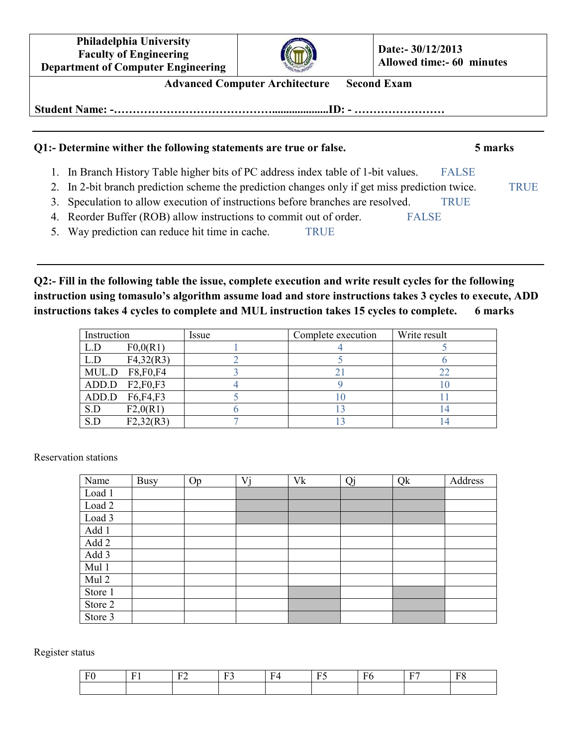**Philadelphia University Faculty of Engineering Department of Computer Engineering**



**Advanced Computer Architecture Second Exam** 

**Student Name: -……………………………………....................ID: - ……………………**

| Q1:- Determine wither the following statements are true or false.                              |              | 5 marks     |  |
|------------------------------------------------------------------------------------------------|--------------|-------------|--|
| 1. In Branch History Table higher bits of PC address index table of 1-bit values.              | <b>FALSE</b> |             |  |
| 2. In 2-bit branch prediction scheme the prediction changes only if get miss prediction twice. |              | <b>TRUE</b> |  |
| 3. Speculation to allow execution of instructions before branches are resolved.                | <b>TRUE</b>  |             |  |
| 4. Reorder Buffer (ROB) allow instructions to commit out of order.<br><b>FALSE</b>             |              |             |  |

5. Way prediction can reduce hit time in cache. TRUE

**Q2:- Fill in the following table the issue, complete execution and write result cycles for the following instruction using tomasulo's algorithm assume load and store instructions takes 3 cycles to execute, ADD instructions takes 4 cycles to complete and MUL instruction takes 15 cycles to complete. 6 marks** 

| Instruction |                      | Issue | Complete execution | Write result |
|-------------|----------------------|-------|--------------------|--------------|
| L.D         | F0,0(R1)             |       |                    |              |
| L.D         | F4,32(R3)            |       |                    |              |
|             | MUL.D F8,F0,F4       |       |                    |              |
|             | $ADD.D$ $F2,F0,F3$   |       |                    |              |
|             | $ADD.D$ $F6, F4, F3$ |       |                    |              |
| S.D         | F2,0(R1)             |       |                    | -4           |
| S.D         | F2,32(R3)            |       |                    |              |

Reservation stations

| Name    | <b>Busy</b> | Op | Vj | Vk | Qj | Qk | Address |
|---------|-------------|----|----|----|----|----|---------|
| Load 1  |             |    |    |    |    |    |         |
| Load 2  |             |    |    |    |    |    |         |
| Load 3  |             |    |    |    |    |    |         |
| Add 1   |             |    |    |    |    |    |         |
| Add 2   |             |    |    |    |    |    |         |
| Add 3   |             |    |    |    |    |    |         |
| Mul 1   |             |    |    |    |    |    |         |
| Mul 2   |             |    |    |    |    |    |         |
| Store 1 |             |    |    |    |    |    |         |
| Store 2 |             |    |    |    |    |    |         |
| Store 3 |             |    |    |    |    |    |         |

Register status

| $\sim$ | $\sim$ | $\mathbf{L}$ | $\overline{\phantom{a}}$<br>- - | $\overline{\phantom{a}}$<br><u>нд</u> | --<br>ь.<br>. L . J | m. | $\sim$ | ПC<br>л. |
|--------|--------|--------------|---------------------------------|---------------------------------------|---------------------|----|--------|----------|
|        |        |              |                                 |                                       |                     |    |        |          |